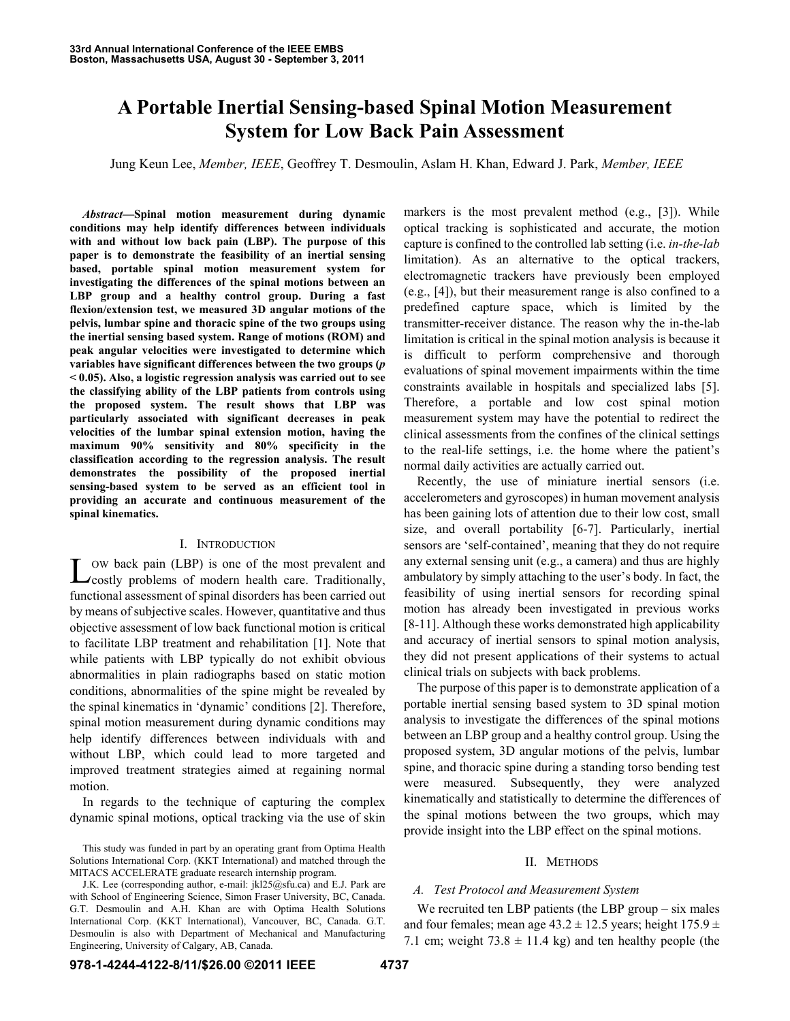# **A Portable Inertial Sensing-based Spinal Motion Measurement System for Low Back Pain Assessment**

Jung Keun Lee, *Member, IEEE*, Geoffrey T. Desmoulin, Aslam H. Khan, Edward J. Park, *Member, IEEE* 

*Abstract***—Spinal motion measurement during dynamic conditions may help identify differences between individuals with and without low back pain (LBP). The purpose of this paper is to demonstrate the feasibility of an inertial sensing based, portable spinal motion measurement system for investigating the differences of the spinal motions between an LBP group and a healthy control group. During a fast flexion/extension test, we measured 3D angular motions of the pelvis, lumbar spine and thoracic spine of the two groups using the inertial sensing based system. Range of motions (ROM) and peak angular velocities were investigated to determine which variables have significant differences between the two groups (***p* **< 0.05). Also, a logistic regression analysis was carried out to see the classifying ability of the LBP patients from controls using the proposed system. The result shows that LBP was particularly associated with significant decreases in peak velocities of the lumbar spinal extension motion, having the maximum 90% sensitivity and 80% specificity in the classification according to the regression analysis. The result demonstrates the possibility of the proposed inertial sensing-based system to be served as an efficient tool in providing an accurate and continuous measurement of the spinal kinematics.** 

## I. INTRODUCTION

OW back pain (LBP) is one of the most prevalent and Low back pain (LBP) is one of the most prevalent and costly problems of modern health care. Traditionally, functional assessment of spinal disorders has been carried out by means of subjective scales. However, quantitative and thus objective assessment of low back functional motion is critical to facilitate LBP treatment and rehabilitation [1]. Note that while patients with LBP typically do not exhibit obvious abnormalities in plain radiographs based on static motion conditions, abnormalities of the spine might be revealed by the spinal kinematics in 'dynamic' conditions [2]. Therefore, spinal motion measurement during dynamic conditions may help identify differences between individuals with and without LBP, which could lead to more targeted and improved treatment strategies aimed at regaining normal motion.

In regards to the technique of capturing the complex dynamic spinal motions, optical tracking via the use of skin

markers is the most prevalent method (e.g., [3]). While optical tracking is sophisticated and accurate, the motion capture is confined to the controlled lab setting (i.e. *in-the-lab* limitation). As an alternative to the optical trackers, electromagnetic trackers have previously been employed (e.g., [4]), but their measurement range is also confined to a predefined capture space, which is limited by the transmitter-receiver distance. The reason why the in-the-lab limitation is critical in the spinal motion analysis is because it is difficult to perform comprehensive and thorough evaluations of spinal movement impairments within the time constraints available in hospitals and specialized labs [5]. Therefore, a portable and low cost spinal motion measurement system may have the potential to redirect the clinical assessments from the confines of the clinical settings to the real-life settings, i.e. the home where the patient's normal daily activities are actually carried out.

Recently, the use of miniature inertial sensors (i.e. accelerometers and gyroscopes) in human movement analysis has been gaining lots of attention due to their low cost, small size, and overall portability [6-7]. Particularly, inertial sensors are 'self-contained', meaning that they do not require any external sensing unit (e.g., a camera) and thus are highly ambulatory by simply attaching to the user's body. In fact, the feasibility of using inertial sensors for recording spinal motion has already been investigated in previous works [8-11]. Although these works demonstrated high applicability and accuracy of inertial sensors to spinal motion analysis, they did not present applications of their systems to actual clinical trials on subjects with back problems.

The purpose of this paper is to demonstrate application of a portable inertial sensing based system to 3D spinal motion analysis to investigate the differences of the spinal motions between an LBP group and a healthy control group. Using the proposed system, 3D angular motions of the pelvis, lumbar spine, and thoracic spine during a standing torso bending test were measured. Subsequently, they were analyzed kinematically and statistically to determine the differences of the spinal motions between the two groups, which may provide insight into the LBP effect on the spinal motions.

## II. METHODS

## *A. Test Protocol and Measurement System*

We recruited ten LBP patients (the LBP group – six males and four females; mean age  $43.2 \pm 12.5$  years; height  $175.9 \pm 12.5$ 7.1 cm; weight  $73.8 \pm 11.4$  kg) and ten healthy people (the

This study was funded in part by an operating grant from Optima Health Solutions International Corp. (KKT International) and matched through the MITACS ACCELERATE graduate research internship program.

J.K. Lee (corresponding author, e-mail: jkl25@sfu.ca) and E.J. Park are with School of Engineering Science, Simon Fraser University, BC, Canada. G.T. Desmoulin and A.H. Khan are with Optima Health Solutions International Corp. (KKT International), Vancouver, BC, Canada. G.T. Desmoulin is also with Department of Mechanical and Manufacturing Engineering, University of Calgary, AB, Canada.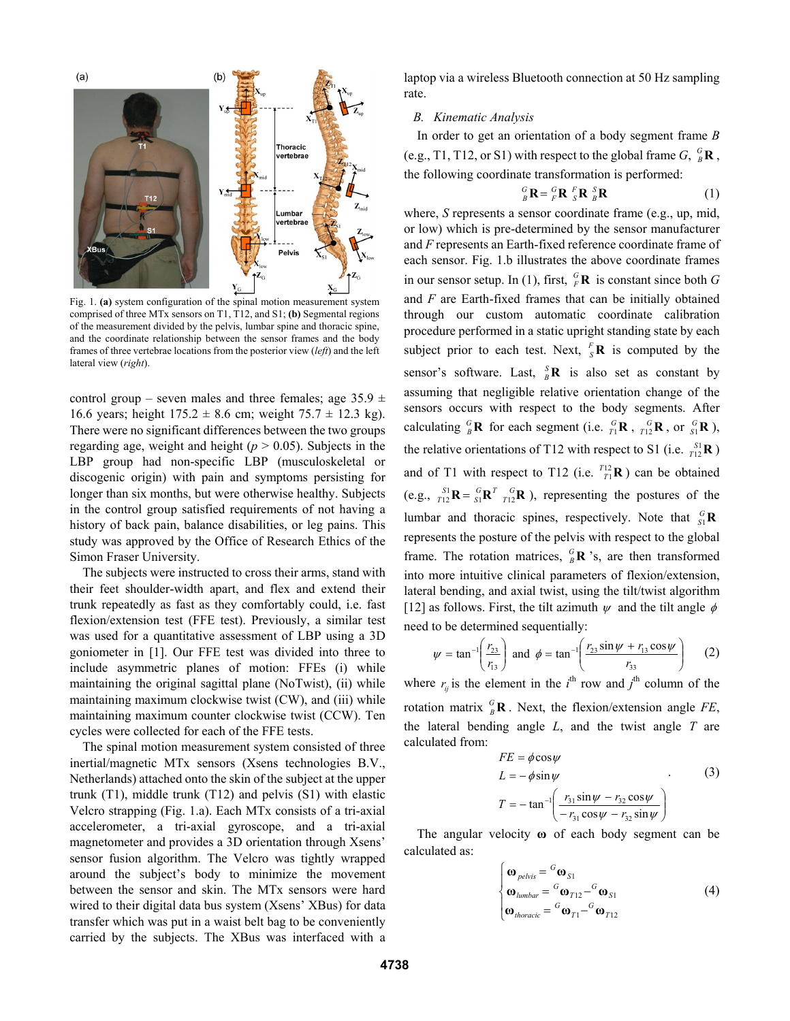

Fig. 1. **(a)** system configuration of the spinal motion measurement system comprised of three MTx sensors on T1, T12, and S1; **(b)** Segmental regions of the measurement divided by the pelvis, lumbar spine and thoracic spine, and the coordinate relationship between the sensor frames and the body frames of three vertebrae locations from the posterior view (*left*) and the left lateral view (*right*).

control group – seven males and three females; age  $35.9 \pm$ 16.6 years; height  $175.2 \pm 8.6$  cm; weight  $75.7 \pm 12.3$  kg). There were no significant differences between the two groups regarding age, weight and height  $(p > 0.05)$ . Subjects in the LBP group had non-specific LBP (musculoskeletal or discogenic origin) with pain and symptoms persisting for longer than six months, but were otherwise healthy. Subjects in the control group satisfied requirements of not having a history of back pain, balance disabilities, or leg pains. This study was approved by the Office of Research Ethics of the Simon Fraser University.

The subjects were instructed to cross their arms, stand with their feet shoulder-width apart, and flex and extend their trunk repeatedly as fast as they comfortably could, i.e. fast flexion/extension test (FFE test). Previously, a similar test was used for a quantitative assessment of LBP using a 3D goniometer in [1]. Our FFE test was divided into three to include asymmetric planes of motion: FFEs (i) while maintaining the original sagittal plane (NoTwist), (ii) while maintaining maximum clockwise twist (CW), and (iii) while maintaining maximum counter clockwise twist (CCW). Ten cycles were collected for each of the FFE tests.

The spinal motion measurement system consisted of three inertial/magnetic MTx sensors (Xsens technologies B.V., Netherlands) attached onto the skin of the subject at the upper trunk (T1), middle trunk (T12) and pelvis (S1) with elastic Velcro strapping (Fig. 1.a). Each MTx consists of a tri-axial accelerometer, a tri-axial gyroscope, and a tri-axial magnetometer and provides a 3D orientation through Xsens' sensor fusion algorithm. The Velcro was tightly wrapped around the subject's body to minimize the movement between the sensor and skin. The MTx sensors were hard wired to their digital data bus system (Xsens' XBus) for data transfer which was put in a waist belt bag to be conveniently carried by the subjects. The XBus was interfaced with a laptop via a wireless Bluetooth connection at 50 Hz sampling rate.

## *B. Kinematic Analysis*

In order to get an orientation of a body segment frame *B* (e.g., T1, T12, or S1) with respect to the global frame  $G$ ,  ${}_{B}^{G}$ **R**, the following coordinate transformation is performed:

$$
{}_{B}^{G} \mathbf{R} = {}_{F}^{G} \mathbf{R} {}_{S}^{F} \mathbf{R} {}_{B}^{S} \mathbf{R}
$$
 (1)

where, *S* represents a sensor coordinate frame (e.g., up, mid, or low) which is pre-determined by the sensor manufacturer and *F* represents an Earth-fixed reference coordinate frame of each sensor. Fig. 1.b illustrates the above coordinate frames in our sensor setup. In (1), first,  ${}_{F}^{G}$ **R** is constant since both *G* and *F* are Earth-fixed frames that can be initially obtained through our custom automatic coordinate calibration procedure performed in a static upright standing state by each subject prior to each test. Next,  $\frac{F}{s}\mathbf{R}$  is computed by the sensor's software. Last,  ${}_{B}^{S}$ **R** is also set as constant by assuming that negligible relative orientation change of the sensors occurs with respect to the body segments. After calculating  ${}_{B}^{G}$ **R** for each segment (i.e.  ${}_{T1}^{G}$ **R**,  ${}_{T12}^{G}$ **R**, or  ${}_{S1}^{G}$ **R**), the relative orientations of T12 with respect to S1 (i.e.  $\frac{S_1}{T_{12}}$ **R**) and of T1 with respect to T12 (i.e.  $T_1^{12}$ **R**) can be obtained (e.g.,  $\frac{S_1}{T_1 2}$ **R** =  $\frac{G}{S_1}$ **R**<sup>*T*</sup>  $\frac{G}{T_1 2}$ **R** ), representing the postures of the lumbar and thoracic spines, respectively. Note that  ${}_{S_1}^G$ **R** represents the posture of the pelvis with respect to the global frame. The rotation matrices,  ${}_{B}^{G}$ **R** 's, are then transformed into more intuitive clinical parameters of flexion/extension, lateral bending, and axial twist, using the tilt/twist algorithm [12] as follows. First, the tilt azimuth  $\psi$  and the tilt angle  $\phi$ need to be determined sequentially:

$$
\psi = \tan^{-1}\left(\frac{r_{23}}{r_{13}}\right)
$$
 and  $\phi = \tan^{-1}\left(\frac{r_{23} \sin \psi + r_{13} \cos \psi}{r_{33}}\right)$  (2)

where  $r_{ij}$  is the element in the  $i^{\text{th}}$  row and  $j^{\text{th}}$  column of the rotation matrix  ${}^G_B\mathbf{R}$ . Next, the flexion/extension angle *FE*, the lateral bending angle *L*, and the twist angle *T* are calculated from:

$$
FE = \phi \cos \psi
$$
  
\n
$$
L = -\phi \sin \psi
$$
 (3)  
\n
$$
T = -\tan^{-1} \left( \frac{r_{31} \sin \psi - r_{32} \cos \psi}{-r_{31} \cos \psi - r_{32} \sin \psi} \right)
$$

The angular velocity **ω** of each body segment can be calculated as:

$$
\begin{cases}\n\boldsymbol{\omega}_{pelvis} = {}^{G}\boldsymbol{\omega}_{S1} \\
\boldsymbol{\omega}_{lumbar} = {}^{G}\boldsymbol{\omega}_{T12} - {}^{G}\boldsymbol{\omega}_{S1} \\
\boldsymbol{\omega}_{thoracic} = {}^{G}\boldsymbol{\omega}_{T1} - {}^{G}\boldsymbol{\omega}_{T12}\n\end{cases}
$$
\n(4)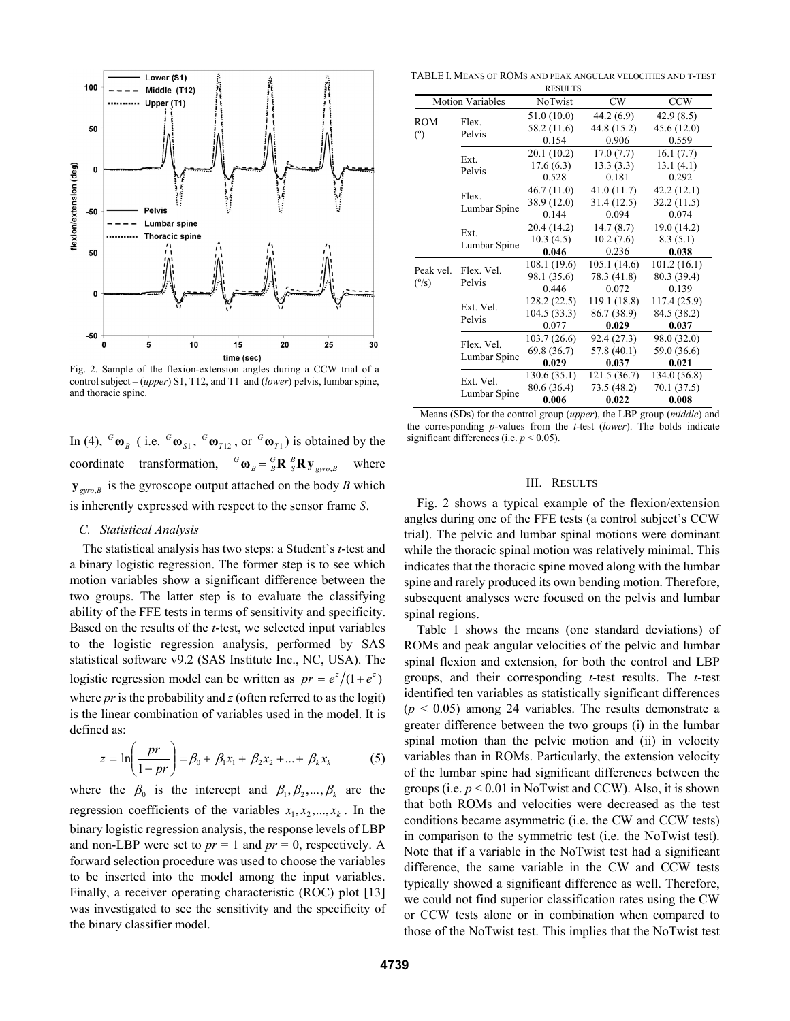

Fig. 2. Sample of the flexion-extension angles during a CCW trial of a control subject – (*upper*) S1, T12, and T1 and (*lower*) pelvis, lumbar spine, and thoracic spine.

In (4),  ${}^G\mathbf{\omega}_B$  (i.e.  ${}^G\mathbf{\omega}_{S1}$ ,  ${}^G\mathbf{\omega}_{T12}$ , or  ${}^G\mathbf{\omega}_{T1}$ ) is obtained by the coordinate transformation,  ${}^G\mathbf{\omega}_B = {}^G_B\mathbf{R} {}^B_S\mathbf{R} \mathbf{y}_{\text{gyro},B}$  where  $y_{\text{gyro},B}$  is the gyroscope output attached on the body *B* which is inherently expressed with respect to the sensor frame *S*.

## *C. Statistical Analysis*

The statistical analysis has two steps: a Student's *t*-test and a binary logistic regression. The former step is to see which motion variables show a significant difference between the two groups. The latter step is to evaluate the classifying ability of the FFE tests in terms of sensitivity and specificity. Based on the results of the *t*-test, we selected input variables to the logistic regression analysis, performed by SAS statistical software v9.2 (SAS Institute Inc., NC, USA). The logistic regression model can be written as  $pr = e^z/(1 + e^z)$ where *pr* is the probability and *z* (often referred to as the logit) is the linear combination of variables used in the model. It is defined as:

$$
z = \ln\left(\frac{pr}{1 - pr}\right) = \beta_0 + \beta_1 x_1 + \beta_2 x_2 + \dots + \beta_k x_k \tag{5}
$$

where the  $\beta_0$  is the intercept and  $\beta_1, \beta_2, ..., \beta_k$  are the regression coefficients of the variables  $x_1, x_2, ..., x_k$ . In the binary logistic regression analysis, the response levels of LBP and non-LBP were set to  $pr = 1$  and  $pr = 0$ , respectively. A forward selection procedure was used to choose the variables to be inserted into the model among the input variables. Finally, a receiver operating characteristic (ROC) plot [13] was investigated to see the sensitivity and the specificity of the binary classifier model.

TABLE I. MEANS OF ROMS AND PEAK ANGULAR VELOCITIES AND T-TEST

|                                    |                            | <b>RESULTS</b> |              |              |
|------------------------------------|----------------------------|----------------|--------------|--------------|
| <b>Motion Variables</b>            |                            | <b>NoTwist</b> | <b>CW</b>    | <b>CCW</b>   |
| <b>ROM</b><br>(°)                  | Flex.<br>Pelvis            | 51.0(10.0)     | 44.2 (6.9)   | 42.9(8.5)    |
|                                    |                            | 58.2 (11.6)    | 44.8 (15.2)  | 45.6(12.0)   |
|                                    |                            | 0.154          | 0.906        | 0.559        |
|                                    | Ext.<br>Pelvis             | 20.1(10.2)     | 17.0(7.7)    | 16.1(7.7)    |
|                                    |                            | 17.6(6.3)      | 13.3(3.3)    | 13.1(4.1)    |
|                                    |                            | 0.528          | 0.181        | 0.292        |
|                                    | Flex.<br>Lumbar Spine      | 46.7(11.0)     | 41.0(11.7)   | 42.2 (12.1)  |
|                                    |                            | 38.9 (12.0)    | 31.4(12.5)   | 32.2(11.5)   |
|                                    |                            | 0.144          | 0.094        | 0.074        |
|                                    | Ext.<br>Lumbar Spine       | 20.4 (14.2)    | 14.7(8.7)    | 19.0 (14.2)  |
|                                    |                            | 10.3(4.5)      | 10.2(7.6)    | 8.3(5.1)     |
|                                    |                            | 0.046          | 0.236        | 0.038        |
| Peak vel.<br>$(^{\circ}/_{\rm S})$ | Flex Vel<br>Pelvis         | 108.1(19.6)    | 105.1(14.6)  | 101.2(16.1)  |
|                                    |                            | 98.1 (35.6)    | 78.3 (41.8)  | 80.3 (39.4)  |
|                                    |                            | 0.446          | 0.072        | 0.139        |
|                                    | Ext. Vel.<br>Pelvis        | 128.2 (22.5)   | 119.1 (18.8) | 117.4 (25.9) |
|                                    |                            | 104.5 (33.3)   | 86.7 (38.9)  | 84.5 (38.2)  |
|                                    |                            | 0.077          | 0.029        | 0.037        |
|                                    | Flex. Vel.<br>Lumbar Spine | 103.7(26.6)    | 92.4 (27.3)  | 98.0 (32.0)  |
|                                    |                            | 69.8 (36.7)    | 57.8 (40.1)  | 59.0 (36.6)  |
|                                    |                            | 0.029          | 0.037        | 0.021        |
|                                    | Ext. Vel.<br>Lumbar Spine  | 130.6 (35.1)   | 121.5 (36.7) | 134.0 (56.8) |
|                                    |                            | 80.6 (36.4)    | 73.5 (48.2)  | 70.1 (37.5)  |
|                                    |                            | 0.006          | 0.022        | 0.008        |

Means (SDs) for the control group (*upper*), the LBP group (*middle*) and the corresponding *p*-values from the *t*-test (*lower*). The bolds indicate significant differences (i.e.  $p < 0.05$ ).

## III. RESULTS

Fig. 2 shows a typical example of the flexion/extension angles during one of the FFE tests (a control subject's CCW trial). The pelvic and lumbar spinal motions were dominant while the thoracic spinal motion was relatively minimal. This indicates that the thoracic spine moved along with the lumbar spine and rarely produced its own bending motion. Therefore, subsequent analyses were focused on the pelvis and lumbar spinal regions.

Table 1 shows the means (one standard deviations) of ROMs and peak angular velocities of the pelvic and lumbar spinal flexion and extension, for both the control and LBP groups, and their corresponding *t*-test results. The *t*-test identified ten variables as statistically significant differences  $(p < 0.05)$  among 24 variables. The results demonstrate a greater difference between the two groups (i) in the lumbar spinal motion than the pelvic motion and (ii) in velocity variables than in ROMs. Particularly, the extension velocity of the lumbar spine had significant differences between the groups (i.e. *p* < 0.01 in NoTwist and CCW). Also, it is shown that both ROMs and velocities were decreased as the test conditions became asymmetric (i.e. the CW and CCW tests) in comparison to the symmetric test (i.e. the NoTwist test). Note that if a variable in the NoTwist test had a significant difference, the same variable in the CW and CCW tests typically showed a significant difference as well. Therefore, we could not find superior classification rates using the CW or CCW tests alone or in combination when compared to those of the NoTwist test. This implies that the NoTwist test